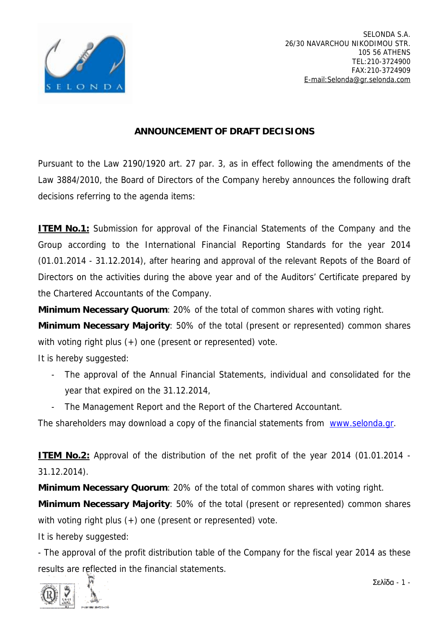

## **ANNOUNCEMENT OF DRAFT DECISIONS**

Pursuant to the Law 2190/1920 art. 27 par. 3, as in effect following the amendments of the Law 3884/2010, the Board of Directors of the Company hereby announces the following draft decisions referring to the agenda items:

**ITEM No.1:** Submission for approval of the Financial Statements of the Company and the Group according to the International Financial Reporting Standards for the year 2014 (01.01.2014 - 31.12.2014), after hearing and approval of the relevant Repots of the Board of Directors on the activities during the above year and of the Auditors' Certificate prepared by the Chartered Accountants of the Company.

**Minimum Necessary Quorum**: 20% of the total of common shares with voting right.

**Minimum Necessary Majority**: 50% of the total (present or represented) common shares with voting right plus (+) one (present or represented) vote.

It is hereby suggested:

- The approval of the Annual Financial Statements, individual and consolidated for the year that expired on the 31.12.2014,
- The Management Report and the Report of the Chartered Accountant.

The shareholders may download a copy of the financial statements from [www.selonda.gr](http://www.selonda.gr).

**ITEM No.2:** Approval of the distribution of the net profit of the year 2014 (01.01.2014 - 31.12.2014).

**Minimum Necessary Quorum**: 20% of the total of common shares with voting right.

**Minimum Necessary Majority**: 50% of the total (present or represented) common shares with voting right plus (+) one (present or represented) vote.

It is hereby suggested:

- The approval of the profit distribution table of the Company for the fiscal year 2014 as these results are reflected in the financial statements.

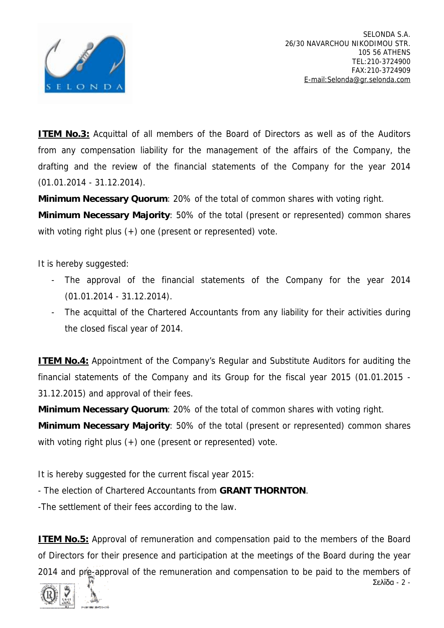

**ITEM No.3:** Acquittal of all members of the Board of Directors as well as of the Auditors from any compensation liability for the management of the affairs of the Company, the drafting and the review of the financial statements of the Company for the year 2014 (01.01.2014 - 31.12.2014).

**Minimum Necessary Quorum**: 20% of the total of common shares with voting right.

**Minimum Necessary Majority**: 50% of the total (present or represented) common shares with voting right plus (+) one (present or represented) vote.

It is hereby suggested:

- The approval of the financial statements of the Company for the year 2014 (01.01.2014 - 31.12.2014).
- The acquittal of the Chartered Accountants from any liability for their activities during the closed fiscal year of 2014.

**ITEM No.4:** Appointment of the Company's Regular and Substitute Auditors for auditing the financial statements of the Company and its Group for the fiscal year 2015 (01.01.2015 - 31.12.2015) and approval of their fees.

**Minimum Necessary Quorum**: 20% of the total of common shares with voting right.

**Minimum Necessary Majority**: 50% of the total (present or represented) common shares with voting right plus (+) one (present or represented) vote.

It is hereby suggested for the current fiscal year 2015:

- The election of Chartered Accountants from **GRANT THORNTON**.

-The settlement of their fees according to the law.

**ITEM No.5:** Approval of remuneration and compensation paid to the members of the Board of Directors for their presence and participation at the meetings of the Board during the year 2014 and pre-approval of the remuneration and compensation to be paid to the members of

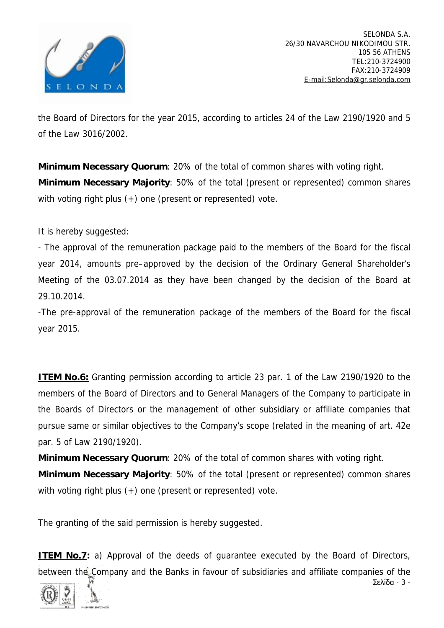

the Board of Directors for the year 2015, according to articles 24 of the Law 2190/1920 and 5 of the Law 3016/2002.

**Minimum Necessary Quorum**: 20% of the total of common shares with voting right. **Minimum Necessary Majority**: 50% of the total (present or represented) common shares with voting right plus (+) one (present or represented) vote.

It is hereby suggested:

- The approval of the remuneration package paid to the members of the Board for the fiscal year 2014, amounts pre–approved by the decision of the Ordinary General Shareholder's Meeting of the 03.07.2014 as they have been changed by the decision of the Board at 29.10.2014.

-The pre-approval of the remuneration package of the members of the Board for the fiscal year 2015.

**ITEM No.6:** Granting permission according to article 23 par. 1 of the Law 2190/1920 to the members of the Board of Directors and to General Managers of the Company to participate in the Boards of Directors or the management of other subsidiary or affiliate companies that pursue same or similar objectives to the Company's scope (related in the meaning of art. 42e par. 5 of Law 2190/1920).

**Minimum Necessary Quorum**: 20% of the total of common shares with voting right.

**Minimum Necessary Majority**: 50% of the total (present or represented) common shares with voting right plus (+) one (present or represented) vote.

The granting of the said permission is hereby suggested.

**ITEM No.7:** a) Approval of the deeds of quarantee executed by the Board of Directors, between the Company and the Banks in favour of subsidiaries and affiliate companies of the

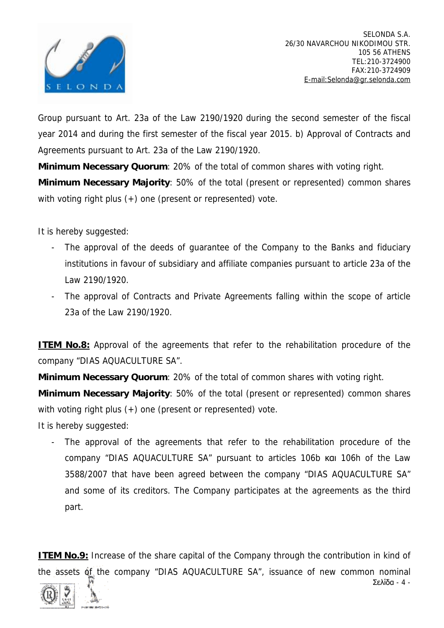

Σελίδα - 4 -

Group pursuant to Art. 23a of the Law 2190/1920 during the second semester of the fiscal year 2014 and during the first semester of the fiscal year 2015. b) Approval of Contracts and Agreements pursuant to Art. 23a of the Law 2190/1920.

**Minimum Necessary Quorum**: 20% of the total of common shares with voting right.

**Minimum Necessary Majority**: 50% of the total (present or represented) common shares with voting right plus (+) one (present or represented) vote.

It is hereby suggested:

- The approval of the deeds of guarantee of the Company to the Banks and fiduciary institutions in favour of subsidiary and affiliate companies pursuant to article 23a of the Law 2190/1920.
- The approval of Contracts and Private Agreements falling within the scope of article 23a of the Law 2190/1920.

**ITEM No.8:** Approval of the agreements that refer to the rehabilitation procedure of the company "DIAS AQUACULTURE SA".

**Minimum Necessary Quorum**: 20% of the total of common shares with voting right.

**Minimum Necessary Majority**: 50% of the total (present or represented) common shares with voting right plus (+) one (present or represented) vote.

It is hereby suggested:

The approval of the agreements that refer to the rehabilitation procedure of the company "DIAS AQUACULTURE SA" pursuant to articles 106b και 106h of the Law 3588/2007 that have been agreed between the company "DIAS AQUACULTURE SA" and some of its creditors. The Company participates at the agreements as the third part.

**ITEM No.9:** Increase of the share capital of the Company through the contribution in kind of the assets of the company "DIAS AQUACULTURE SA", issuance of new common nominal

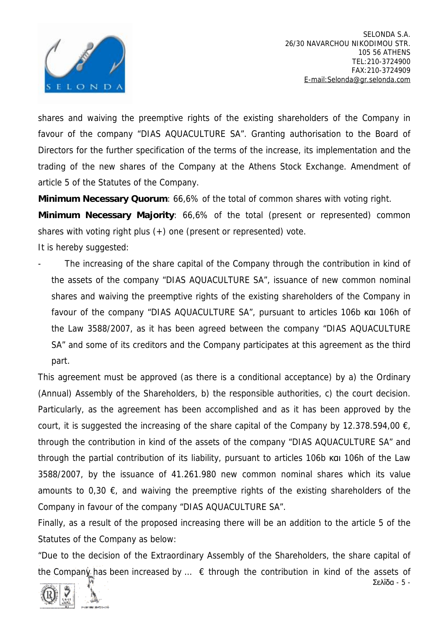

SELONDA S.A. 26/30 NAVARCHOU NIKODIMOU STR. 105 56 ATHENS TEL:210-3724900 FAX:210-3724909 [E-mail:Selonda@gr.selonda.com](mailto:E-mail:Selonda@gr.selonda.com)

Σελίδα - 5 -

shares and waiving the preemptive rights of the existing shareholders of the Company in favour of the company "DIAS AQUACULTURE SA". Granting authorisation to the Board of Directors for the further specification of the terms of the increase, its implementation and the trading of the new shares of the Company at the Athens Stock Exchange. Amendment of article 5 of the Statutes of the Company.

**Minimum Necessary Quorum**: 66,6% of the total of common shares with voting right.

**Minimum Necessary Majority**: 66,6% of the total (present or represented) common shares with voting right plus  $(+)$  one (present or represented) vote.

It is hereby suggested:

- The increasing of the share capital of the Company through the contribution in kind of the assets of the company "DIAS AQUACULTURE SA", issuance of new common nominal shares and waiving the preemptive rights of the existing shareholders of the Company in favour of the company "DIAS AQUACULTURE SA", pursuant to articles 106b και 106h of the Law 3588/2007, as it has been agreed between the company "DIAS AQUACULTURE SA" and some of its creditors and the Company participates at this agreement as the third part.

This agreement must be approved (as there is a conditional acceptance) by a) the Ordinary (Annual) Assembly of the Shareholders, b) the responsible authorities, c) the court decision. Particularly, as the agreement has been accomplished and as it has been approved by the court, it is suggested the increasing of the share capital of the Company by 12.378.594,00  $\epsilon$ , through the contribution in kind of the assets of the company "DIAS AQUACULTURE SA" and through the partial contribution of its liability, pursuant to articles 106b και 106h of the Law 3588/2007, by the issuance of 41.261.980 new common nominal shares which its value amounts to 0,30  $\epsilon$ , and waiving the preemptive rights of the existing shareholders of the Company in favour of the company "DIAS AQUACULTURE SA".

Finally, as a result of the proposed increasing there will be an addition to the article 5 of the Statutes of the Company as below:

*"Due to the decision of the Extraordinary Assembly of the Shareholders, the share capital of the Company has been increased by … € through the contribution in kind of the assets of* 

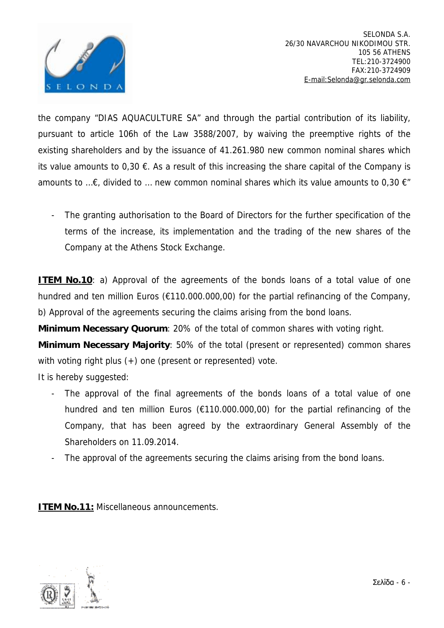

*the company "DIAS AQUACULTURE SA" and through the partial contribution of its liability, pursuant to article 106h of the Law 3588/2007, by waiving the preemptive rights of the existing shareholders and by the issuance of 41.261.980 new common nominal shares which*  its value amounts to 0,30  $\epsilon$ . As a result of this increasing the share capital of the Company is *amounts to …€, divided to … new common nominal shares which its value amounts to 0,30 €"* 

The granting authorisation to the Board of Directors for the further specification of the terms of the increase, its implementation and the trading of the new shares of the Company at the Athens Stock Exchange.

**ITEM** No.10: a) Approval of the agreements of the bonds loans of a total value of one hundred and ten million Euros (€110.000.000,00) for the partial refinancing of the Company, b) Approval of the agreements securing the claims arising from the bond loans.

**Minimum Necessary Quorum**: 20% of the total of common shares with voting right.

**Minimum Necessary Majority**: 50% of the total (present or represented) common shares with voting right plus (+) one (present or represented) vote.

It is hereby suggested:

- The approval of the final agreements of the bonds loans of a total value of one hundred and ten million Euros (€110.000.000,00) for the partial refinancing of the Company, that has been agreed by the extraordinary General Assembly of the Shareholders on 11.09.2014.
- The approval of the agreements securing the claims arising from the bond loans.

**ITEM No.11:** Miscellaneous announcements.